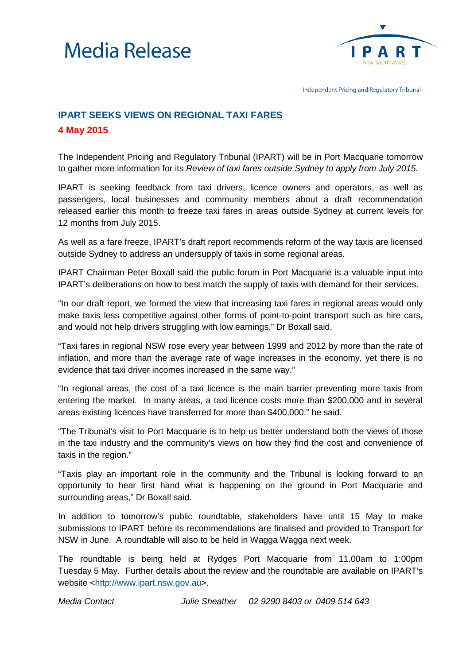



Independent Pricing and Regulatory Tribunal

## **IPART SEEKS VIEWS ON REGIONAL TAXI FARES 4 May 2015**

The Independent Pricing and Regulatory Tribunal (IPART) will be in Port Macquarie tomorrow to gather more information for its *Review of taxi fares outside Sydney to apply from July 2015.*

IPART is seeking feedback from taxi drivers, licence owners and operators, as well as passengers, local businesses and community members about a draft recommendation released earlier this month to freeze taxi fares in areas outside Sydney at current levels for 12 months from July 2015.

As well as a fare freeze, IPART's draft report recommends reform of the way taxis are licensed outside Sydney to address an undersupply of taxis in some regional areas.

IPART Chairman Peter Boxall said the public forum in Port Macquarie is a valuable input into IPART's deliberations on how to best match the supply of taxis with demand for their services.

"In our draft report, we formed the view that increasing taxi fares in regional areas would only make taxis less competitive against other forms of point-to-point transport such as hire cars, and would not help drivers struggling with low earnings," Dr Boxall said.

"Taxi fares in regional NSW rose every year between 1999 and 2012 by more than the rate of inflation, and more than the average rate of wage increases in the economy, yet there is no evidence that taxi driver incomes increased in the same way."

"In regional areas, the cost of a taxi licence is the main barrier preventing more taxis from entering the market. In many areas, a taxi licence costs more than \$200,000 and in several areas existing licences have transferred for more than \$400,000." he said.

"The Tribunal's visit to Port Macquarie is to help us better understand both the views of those in the taxi industry and the community's views on how they find the cost and convenience of taxis in the region."

"Taxis play an important role in the community and the Tribunal is looking forward to an opportunity to hear first hand what is happening on the ground in Port Macquarie and surrounding areas," Dr Boxall said.

In addition to tomorrow's public roundtable, stakeholders have until 15 May to make submissions to IPART before its recommendations are finalised and provided to Transport for NSW in June. A roundtable will also to be held in Wagga Wagga next week.

The roundtable is being held at Rydges Port Macquarie from 11.00am to 1:00pm Tuesday 5 May. Further details about the review and the roundtable are available on IPART's website [<http://www.ipart.nsw.gov.au>](http://www.ipart.nsw.gov.au/).

*Media Contact Julie Sheather 02 9290 8403 or 0409 514 643*